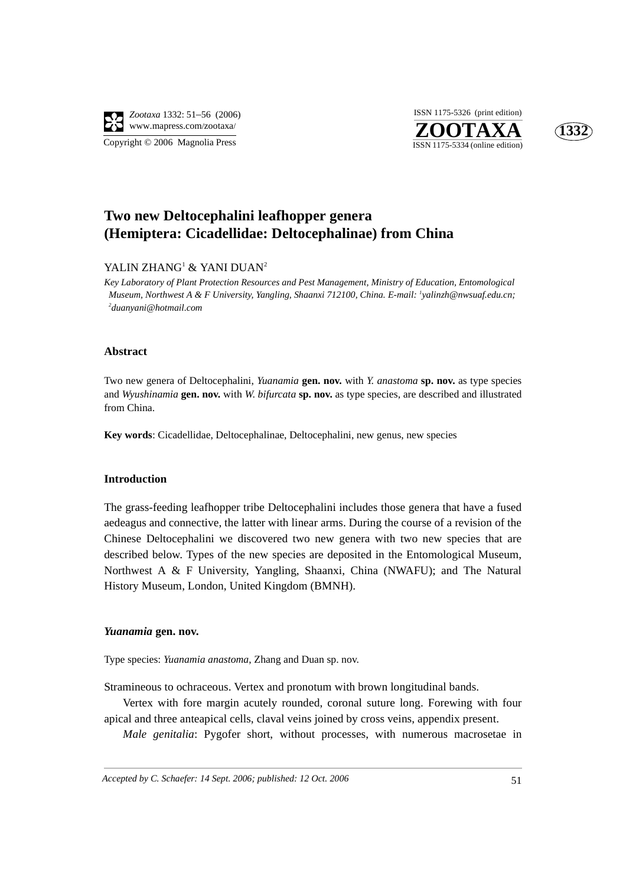

Copyright © 2006 Magnolia Press





# **Two new Deltocephalini leafhopper genera (Hemiptera: Cicadellidae: Deltocephalinae) from China**

## YALIN ZHANG<sup>1</sup> & YANI DUAN<sup>2</sup>

*Key Laboratory of Plant Protection Resources and Pest Management, Ministry of Education, Entomological Museum, Northwest A & F University, Yangling, Shaanxi 712100, China. E-mail: 1 yalinzh@nwsuaf.edu.cn; 2 duanyani@hotmail.com*

#### **Abstract**

Two new genera of Deltocephalini, *Yuanamia* **gen. nov.** with *Y*. *anastoma* **sp. nov.** as type species and *Wyushinamia* **gen. nov.** with *W*. *bifurcata* **sp. nov.** as type species, are described and illustrated from China.

**Key words**: Cicadellidae, Deltocephalinae, Deltocephalini, new genus, new species

### **Introduction**

The grass-feeding leafhopper tribe Deltocephalini includes those genera that have a fused aedeagus and connective, the latter with linear arms. During the course of a revision of the Chinese Deltocephalini we discovered two new genera with two new species that are described below. Types of the new species are deposited in the Entomological Museum, Northwest A & F University, Yangling, Shaanxi, China (NWAFU); and The Natural History Museum, London, United Kingdom (BMNH).

#### *Yuanamia* **gen. nov.**

Type species: *Yuanamia anastoma*, Zhang and Duan sp. nov.

Stramineous to ochraceous. Vertex and pronotum with brown longitudinal bands.

Vertex with fore margin acutely rounded, coronal suture long. Forewing with four apical and three anteapical cells, claval veins joined by cross veins, appendix present.

*Male genitalia*: Pygofer short, without processes, with numerous macrosetae in

*Accepted by C. Schaefer: 14 Sept. 2006; published: 12 Oct. 2006* 51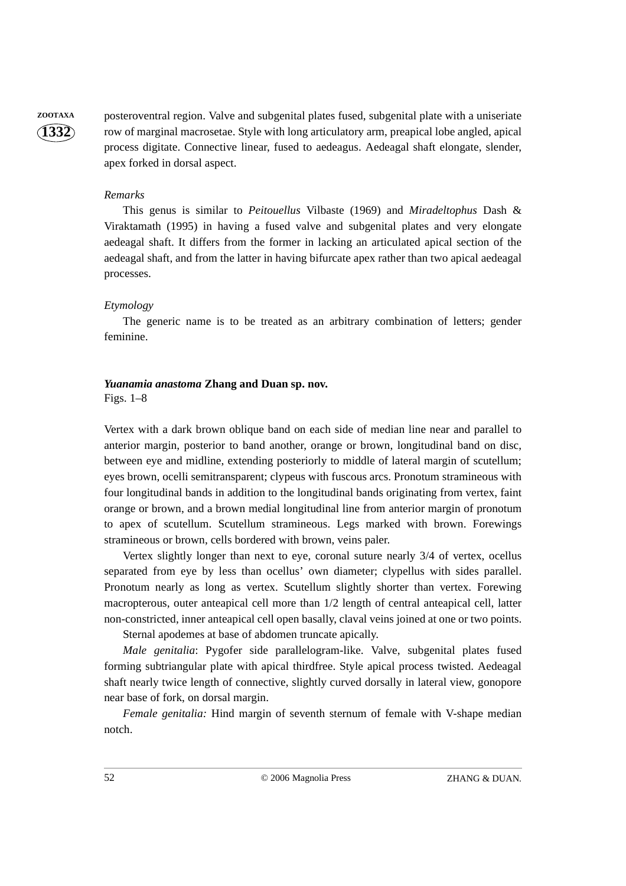**1332**

**ZOOTAXA** posteroventral region. Valve and subgenital plates fused, subgenital plate with a uniseriate row of marginal macrosetae. Style with long articulatory arm, preapical lobe angled, apical process digitate. Connective linear, fused to aedeagus. Aedeagal shaft elongate, slender, apex forked in dorsal aspect.

#### *Remarks*

This genus is similar to *Peitouellus* Vilbaste (1969) and *Miradeltophus* Dash & Viraktamath (1995) in having a fused valve and subgenital plates and very elongate aedeagal shaft. It differs from the former in lacking an articulated apical section of the aedeagal shaft, and from the latter in having bifurcate apex rather than two apical aedeagal processes.

#### *Etymology*

The generic name is to be treated as an arbitrary combination of letters; gender feminine.

## *Yuanamia anastoma* **Zhang and Duan sp. nov.**

Figs. 1–8

Vertex with a dark brown oblique band on each side of median line near and parallel to anterior margin, posterior to band another, orange or brown, longitudinal band on disc, between eye and midline, extending posteriorly to middle of lateral margin of scutellum; eyes brown, ocelli semitransparent; clypeus with fuscous arcs. Pronotum stramineous with four longitudinal bands in addition to the longitudinal bands originating from vertex, faint orange or brown, and a brown medial longitudinal line from anterior margin of pronotum to apex of scutellum. Scutellum stramineous. Legs marked with brown. Forewings stramineous or brown, cells bordered with brown, veins paler.

Vertex slightly longer than next to eye, coronal suture nearly 3/4 of vertex, ocellus separated from eye by less than ocellus' own diameter; clypellus with sides parallel. Pronotum nearly as long as vertex. Scutellum slightly shorter than vertex. Forewing macropterous, outer anteapical cell more than 1/2 length of central anteapical cell, latter non-constricted, inner anteapical cell open basally, claval veins joined at one or two points.

Sternal apodemes at base of abdomen truncate apically.

*Male genitalia*: Pygofer side parallelogram-like. Valve, subgenital plates fused forming subtriangular plate with apical thirdfree. Style apical process twisted. Aedeagal shaft nearly twice length of connective, slightly curved dorsally in lateral view, gonopore near base of fork, on dorsal margin.

*Female genitalia:* Hind margin of seventh sternum of female with V-shape median notch.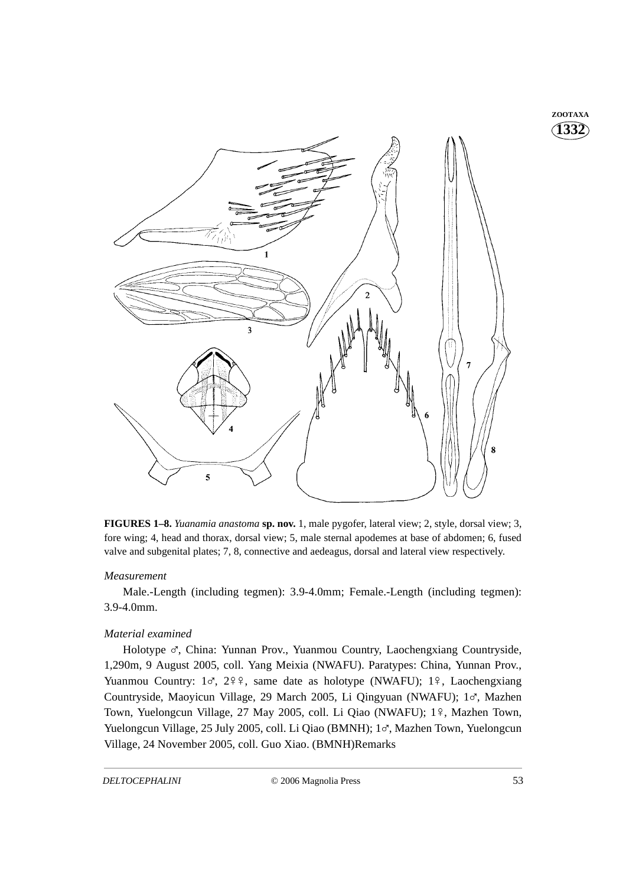

**FIGURES 1–8.** *Yuanamia anastoma* **sp. nov.** 1, male pygofer, lateral view; 2, style, dorsal view; 3, fore wing; 4, head and thorax, dorsal view; 5, male sternal apodemes at base of abdomen; 6, fused valve and subgenital plates; 7, 8, connective and aedeagus, dorsal and lateral view respectively.

## *Measurement*

Male.-Length (including tegmen): 3.9-4.0mm; Female.-Length (including tegmen): 3.9-4.0mm.

## *Material examined*

Holotype o', China: Yunnan Prov., Yuanmou Country, Laochengxiang Countryside, 1,290m, 9 August 2005, coll. Yang Meixia (NWAFU). Paratypes: China, Yunnan Prov., Yuanmou Country:  $1\sigma$ ,  $2\frac{9}{9}$ , same date as holotype (NWAFU);  $1\frac{9}{9}$ , Laochengxiang Countryside, Maoyicun Village, 29 March 2005, Li Qingyuan (NWAFU); 1%, Mazhen Town, Yuelongcun Village, 27 May 2005, coll. Li Qiao (NWAFU); 1º, Mazhen Town, Yuelongcun Village, 25 July 2005, coll. Li Qiao (BMNH); 1%, Mazhen Town, Yuelongcun Village, 24 November 2005, coll. Guo Xiao. (BMNH)Remarks

**1332 ZOOTAXA**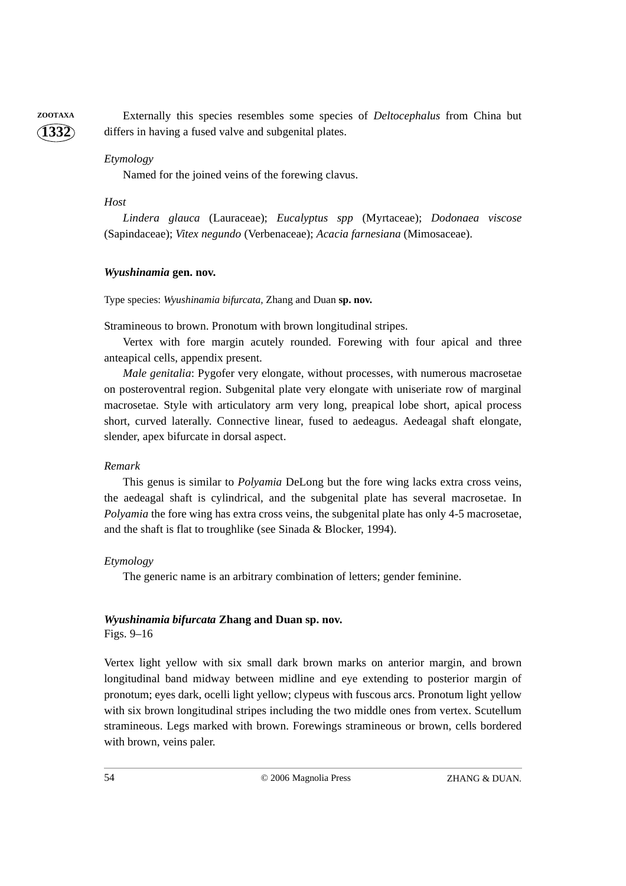**ZOOTAXA** Externally this species resembles some species of *Deltocephalus* from China but differs in having a fused valve and subgenital plates.

## *Etymology*

Named for the joined veins of the forewing clavus.

## *Host*

**1332**

*Lindera glauca* (Lauraceae); *Eucalyptus spp* (Myrtaceae); *Dodonaea viscose* (Sapindaceae); *Vitex negundo* (Verbenaceae); *Acacia farnesiana* (Mimosaceae).

#### *Wyushinamia* **gen. nov.**

Type species: *Wyushinamia bifurcata,* Zhang and Duan **sp. nov.** 

Stramineous to brown. Pronotum with brown longitudinal stripes.

Vertex with fore margin acutely rounded. Forewing with four apical and three anteapical cells, appendix present.

*Male genitalia*: Pygofer very elongate, without processes, with numerous macrosetae on posteroventral region. Subgenital plate very elongate with uniseriate row of marginal macrosetae. Style with articulatory arm very long, preapical lobe short, apical process short, curved laterally. Connective linear, fused to aedeagus. Aedeagal shaft elongate, slender, apex bifurcate in dorsal aspect.

#### *Remark*

This genus is similar to *Polyamia* DeLong but the fore wing lacks extra cross veins, the aedeagal shaft is cylindrical, and the subgenital plate has several macrosetae. In *Polyamia* the fore wing has extra cross veins, the subgenital plate has only 4-5 macrosetae, and the shaft is flat to troughlike (see Sinada & Blocker, 1994).

## *Etymology*

The generic name is an arbitrary combination of letters; gender feminine.

#### *Wyushinamia bifurcata* **Zhang and Duan sp. nov.**

Figs. 9–16

Vertex light yellow with six small dark brown marks on anterior margin, and brown longitudinal band midway between midline and eye extending to posterior margin of pronotum; eyes dark, ocelli light yellow; clypeus with fuscous arcs. Pronotum light yellow with six brown longitudinal stripes including the two middle ones from vertex. Scutellum stramineous. Legs marked with brown. Forewings stramineous or brown, cells bordered with brown, veins paler.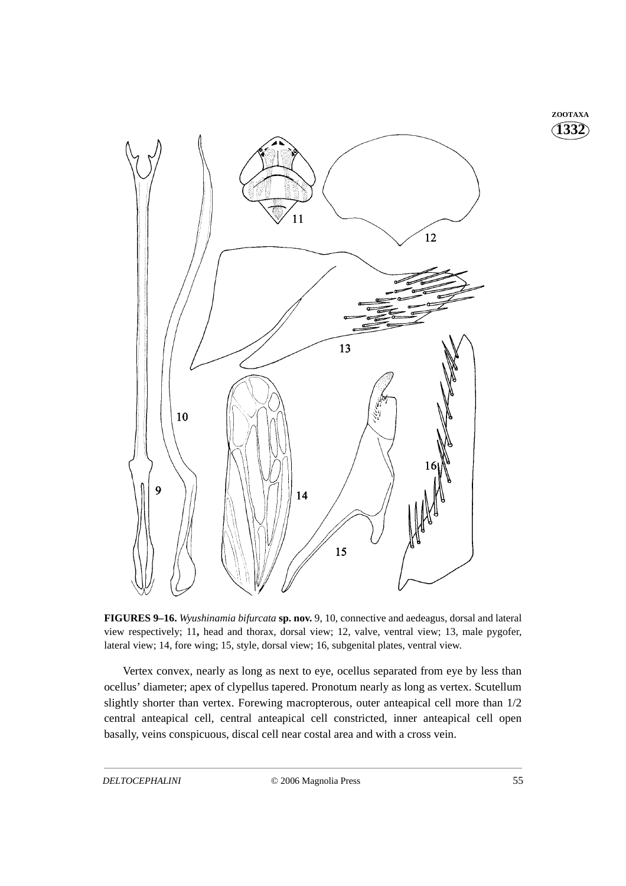**1332 ZOOTAXA**



**FIGURES 9–16.** *Wyushinamia bifurcata* **sp. nov.** 9, 10, connective and aedeagus, dorsal and lateral view respectively; 11**,** head and thorax, dorsal view; 12, valve, ventral view; 13, male pygofer, lateral view; 14, fore wing; 15, style, dorsal view; 16, subgenital plates, ventral view.

Vertex convex, nearly as long as next to eye, ocellus separated from eye by less than ocellus' diameter; apex of clypellus tapered. Pronotum nearly as long as vertex. Scutellum slightly shorter than vertex. Forewing macropterous, outer anteapical cell more than 1/2 central anteapical cell, central anteapical cell constricted, inner anteapical cell open basally, veins conspicuous, discal cell near costal area and with a cross vein.